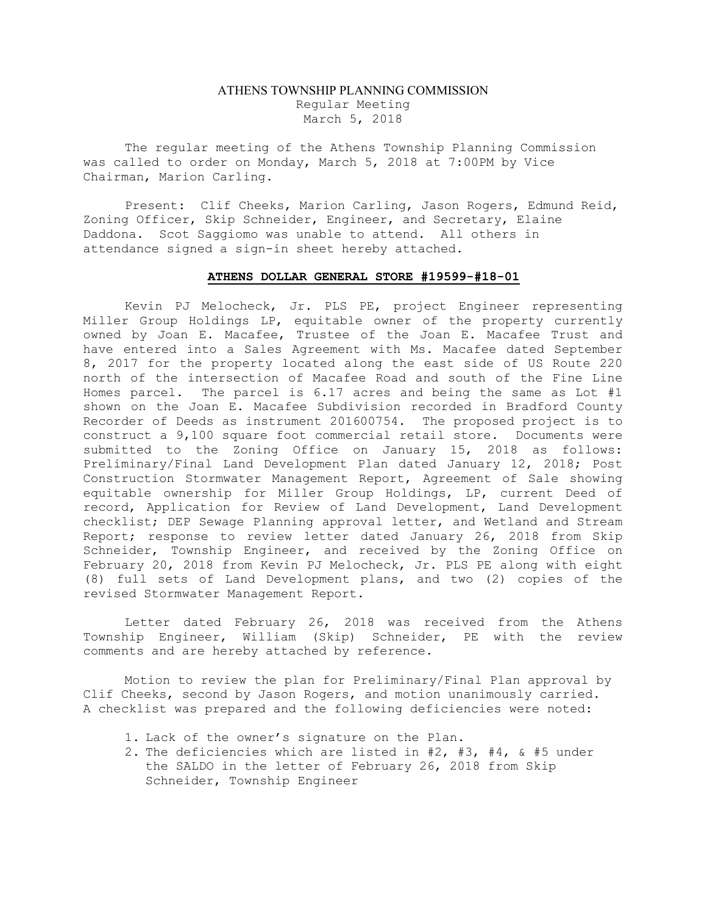## ATHENS TOWNSHIP PLANNING COMMISSION Regular Meeting March 5, 2018

The regular meeting of the Athens Township Planning Commission was called to order on Monday, March 5, 2018 at 7:00PM by Vice Chairman, Marion Carling.

Present: Clif Cheeks, Marion Carling, Jason Rogers, Edmund Reid, Zoning Officer, Skip Schneider, Engineer, and Secretary, Elaine Daddona. Scot Saggiomo was unable to attend. All others in attendance signed a sign-in sheet hereby attached.

## ATHENS DOLLAR GENERAL STORE #19599-#18-01

Kevin PJ Melocheck, Jr. PLS PE, project Engineer representing Miller Group Holdings LP, equitable owner of the property currently owned by Joan E. Macafee, Trustee of the Joan E. Macafee Trust and have entered into a Sales Agreement with Ms. Macafee dated September 8, 2017 for the property located along the east side of US Route 220 north of the intersection of Macafee Road and south of the Fine Line Homes parcel. The parcel is 6.17 acres and being the same as Lot #1 shown on the Joan E. Macafee Subdivision recorded in Bradford County Recorder of Deeds as instrument 201600754. The proposed project is to construct a 9,100 square foot commercial retail store. Documents were submitted to the Zoning Office on January 15, 2018 as follows: Preliminary/Final Land Development Plan dated January 12, 2018; Post Construction Stormwater Management Report, Agreement of Sale showing equitable ownership for Miller Group Holdings, LP, current Deed of record, Application for Review of Land Development, Land Development checklist; DEP Sewage Planning approval letter, and Wetland and Stream Report; response to review letter dated January 26, 2018 from Skip Schneider, Township Engineer, and received by the Zoning Office on February 20, 2018 from Kevin PJ Melocheck, Jr. PLS PE along with eight (8) full sets of Land Development plans, and two (2) copies of the revised Stormwater Management Report.

Letter dated February 26, 2018 was received from the Athens Township Engineer, William (Skip) Schneider, PE with the review comments and are hereby attached by reference.

Motion to review the plan for Preliminary/Final Plan approval by Clif Cheeks, second by Jason Rogers, and motion unanimously carried. A checklist was prepared and the following deficiencies were noted:

- 1. Lack of the owner's signature on the Plan.
- 2. The deficiencies which are listed in #2, #3, #4, & #5 under the SALDO in the letter of February 26, 2018 from Skip Schneider, Township Engineer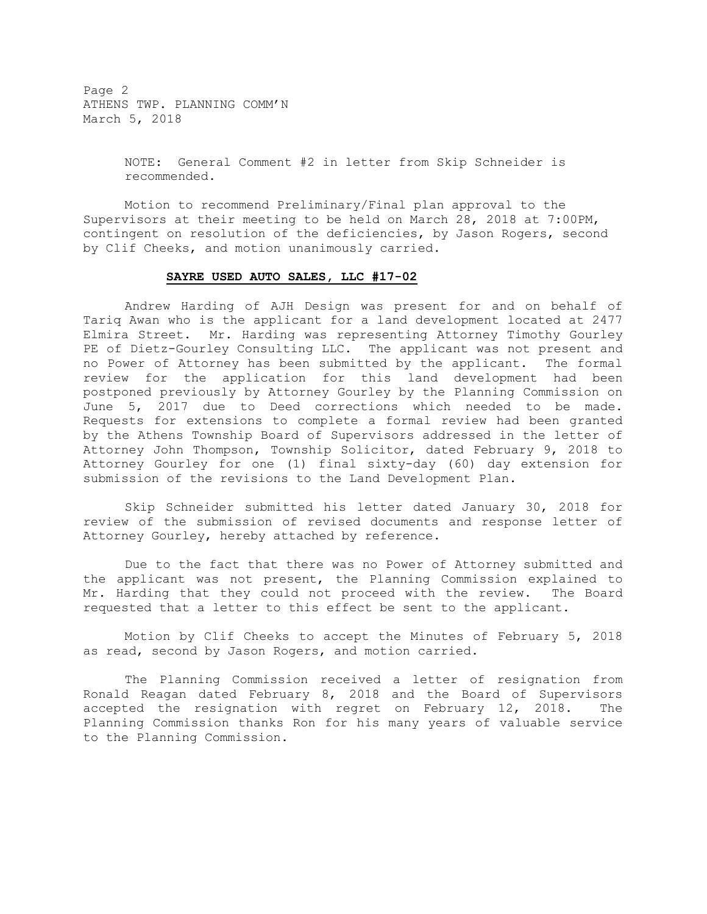Page 2 ATHENS TWP. PLANNING COMM'N March 5, 2018

> NOTE: General Comment #2 in letter from Skip Schneider is recommended.

Motion to recommend Preliminary/Final plan approval to the Supervisors at their meeting to be held on March 28, 2018 at 7:00PM, contingent on resolution of the deficiencies, by Jason Rogers, second by Clif Cheeks, and motion unanimously carried.

## SAYRE USED AUTO SALES, LLC #17-02

 Andrew Harding of AJH Design was present for and on behalf of Tariq Awan who is the applicant for a land development located at 2477 Elmira Street. Mr. Harding was representing Attorney Timothy Gourley PE of Dietz-Gourley Consulting LLC. The applicant was not present and no Power of Attorney has been submitted by the applicant. The formal review for the application for this land development had been postponed previously by Attorney Gourley by the Planning Commission on June 5, 2017 due to Deed corrections which needed to be made. Requests for extensions to complete a formal review had been granted by the Athens Township Board of Supervisors addressed in the letter of Attorney John Thompson, Township Solicitor, dated February 9, 2018 to Attorney Gourley for one (1) final sixty-day (60) day extension for submission of the revisions to the Land Development Plan.

 Skip Schneider submitted his letter dated January 30, 2018 for review of the submission of revised documents and response letter of Attorney Gourley, hereby attached by reference.

 Due to the fact that there was no Power of Attorney submitted and the applicant was not present, the Planning Commission explained to Mr. Harding that they could not proceed with the review. The Board requested that a letter to this effect be sent to the applicant.

 Motion by Clif Cheeks to accept the Minutes of February 5, 2018 as read, second by Jason Rogers, and motion carried.

 The Planning Commission received a letter of resignation from Ronald Reagan dated February 8, 2018 and the Board of Supervisors accepted the resignation with regret on February 12, 2018. The Planning Commission thanks Ron for his many years of valuable service to the Planning Commission.